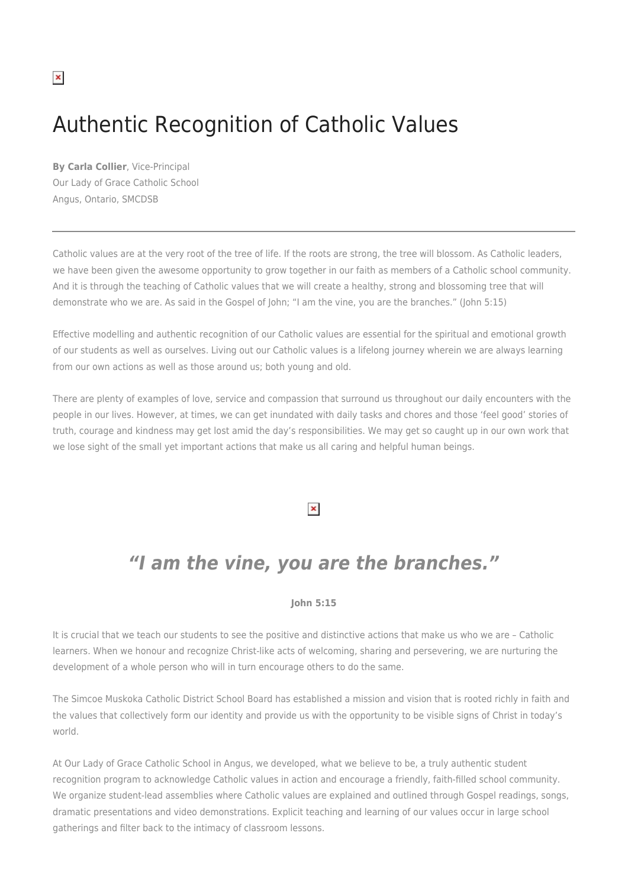### $\pmb{\times}$

# Authentic Recognition of Catholic Values

**By Carla Collier**, Vice-Principal Our Lady of Grace Catholic School Angus, Ontario, SMCDSB

Catholic values are at the very root of the tree of life. If the roots are strong, the tree will blossom. As Catholic leaders, we have been given the awesome opportunity to grow together in our faith as members of a Catholic school community. And it is through the teaching of Catholic values that we will create a healthy, strong and blossoming tree that will demonstrate who we are. As said in the Gospel of John; "I am the vine, you are the branches." (John 5:15)

Effective modelling and authentic recognition of our Catholic values are essential for the spiritual and emotional growth of our students as well as ourselves. Living out our Catholic values is a lifelong journey wherein we are always learning from our own actions as well as those around us; both young and old.

There are plenty of examples of love, service and compassion that surround us throughout our daily encounters with the people in our lives. However, at times, we can get inundated with daily tasks and chores and those 'feel good' stories of truth, courage and kindness may get lost amid the day's responsibilities. We may get so caught up in our own work that we lose sight of the small yet important actions that make us all caring and helpful human beings.

#### $\pmb{\times}$

## *"I am the vine, you are the branches."*

#### **John 5:15**

It is crucial that we teach our students to see the positive and distinctive actions that make us who we are – Catholic learners. When we honour and recognize Christ-like acts of welcoming, sharing and persevering, we are nurturing the development of a whole person who will in turn encourage others to do the same.

The Simcoe Muskoka Catholic District School Board has established a mission and vision that is rooted richly in faith and the values that collectively form our identity and provide us with the opportunity to be visible signs of Christ in today's world.

At Our Lady of Grace Catholic School in Angus, we developed, what we believe to be, a truly authentic student recognition program to acknowledge Catholic values in action and encourage a friendly, faith-filled school community. We organize student-lead assemblies where Catholic values are explained and outlined through Gospel readings, songs, dramatic presentations and video demonstrations. Explicit teaching and learning of our values occur in large school gatherings and filter back to the intimacy of classroom lessons.